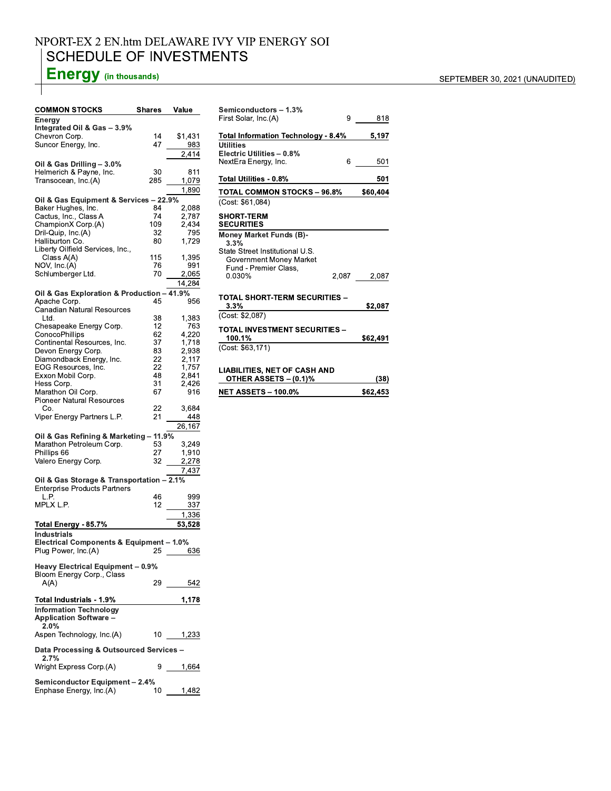### NPORT-EX 2 EN.htm DELAWARE IVY VIP ENERGY SOI **SCHEDULE OF INVESTMENTS**

# **Energy** (in thousands)

| <b>COMMON STOCKS</b>                                           | Shares    | Value          |  |  |
|----------------------------------------------------------------|-----------|----------------|--|--|
| Energy<br>Integrated Oil & Gas - 3.9%                          |           |                |  |  |
| Chevron Corp.                                                  | 14        | \$1,431        |  |  |
| Suncor Energy, Inc.                                            | 47        | 983            |  |  |
|                                                                |           | 2.414          |  |  |
| Oil & Gas Drilling - 3.0%                                      |           |                |  |  |
| Helmerich & Payne, Inc.<br>Transocean, Inc.(A)                 | 30<br>285 | 811<br>1,079   |  |  |
|                                                                |           | 1,890          |  |  |
| Oil & Gas Equipment & Services - 22.9%                         |           |                |  |  |
| Baker Hughes, Inc.                                             | 84        | 2,088          |  |  |
| Cactus, Inc., Class A                                          | 74        | 2,787          |  |  |
| ChampionX Corp.(A)                                             | 109       | 2,434          |  |  |
| Dril-Quip, Inc.(A)<br>Halliburton Co.                          | 32<br>80  | 795<br>1,729   |  |  |
| Liberty Oilfield Services, Inc.,                               |           |                |  |  |
| Class A(A)                                                     | 115       | 1,395          |  |  |
| NOV, Inc.(A)                                                   | 76        | 991            |  |  |
| Schlumberger Ltd.                                              | 70        | 2,065          |  |  |
|                                                                |           | 14,284         |  |  |
| Oil & Gas Exploration & Production - 41.9%                     | 45        |                |  |  |
| Apache Corp.<br><b>Canadian Natural Resources</b>              |           | 956            |  |  |
| Ltd.                                                           | 38        | 1,383          |  |  |
| Chesapeake Energy Corp.                                        | 12        | 763            |  |  |
| ConocoPhillips                                                 | 62        | 4,220          |  |  |
| Continental Resources, Inc.<br>Devon Energy Corp.              | 37<br>83  | 1,718<br>2,938 |  |  |
| Diamondback Energy, Inc.                                       | 22        | 2,117          |  |  |
| EOG Resources, Inc.                                            | 22        | 1,757          |  |  |
| Exxon Mobil Corp.                                              | 48        | 2,841          |  |  |
| Hess Corp.                                                     | 31        | 2,426<br>916   |  |  |
| Marathon Oil Corp.<br><b>Pioneer Natural Resources</b>         | 67        |                |  |  |
| Co.                                                            | 22        | 3,684          |  |  |
| Viper Energy Partners L.P.                                     | 21        | 448            |  |  |
|                                                                |           | 26,167         |  |  |
| Oil & Gas Refining & Marketing - 11.9%                         |           |                |  |  |
| Marathon Petroleum Corp.<br>Phillips 66                        | 53<br>27  | 3,249<br>1,910 |  |  |
| Valero Energy Corp.                                            | 32        | 2,278          |  |  |
|                                                                |           | 7,437          |  |  |
| Oil & Gas Storage & Transportation - 2.1%                      |           |                |  |  |
| <b>Enterprise Products Partners</b>                            |           |                |  |  |
| L.P.<br>MPLX L.P.                                              | 46<br>12  | 999            |  |  |
|                                                                |           | 337<br>1,336   |  |  |
| Total Energy - 85.7%                                           |           | 53,528         |  |  |
| Industrials                                                    |           |                |  |  |
| Electrical Components & Equipment - 1.0%                       |           |                |  |  |
| Plug Power, Inc.(A)                                            | Z5.       | 636            |  |  |
|                                                                |           |                |  |  |
| Heavy Electrical Equipment - 0.9%<br>Bloom Energy Corp., Class |           |                |  |  |
| A(A)                                                           |           | 29 542         |  |  |
|                                                                |           |                |  |  |
| Total Industrials - 1.9%                                       |           | 1,178          |  |  |
| <b>Information Technology</b>                                  |           |                |  |  |
| <b>Application Software -</b><br>2.0%                          |           |                |  |  |
| Aspen Technology, Inc.(A)                                      | 10        | 1,233          |  |  |
|                                                                |           |                |  |  |
| Data Processing & Outsourced Services -                        |           |                |  |  |
| 2.7%<br>Wright Express Corp.(A)                                | 9         | 1,664          |  |  |
|                                                                |           |                |  |  |
| <b>Semiconductor Equipment - 2.4%</b>                          |           |                |  |  |
| Enphase Energy, Inc.(A)                                        | 10        | 1,482          |  |  |

| Semiconductors - 1.3%                            |   |             |  |  |
|--------------------------------------------------|---|-------------|--|--|
| First Solar, Inc.(A)                             | 9 | 818         |  |  |
| Total Information Technology - 8.4%              |   | 5,197       |  |  |
| <b>Utilities</b>                                 |   |             |  |  |
| Electric Utilities - 0.8%                        |   |             |  |  |
| NextEra Energy, Inc.                             | 6 | 501         |  |  |
| Total Utilities - 0.8%                           |   | 501         |  |  |
| TOTAL COMMON STOCKS – 96.8%                      |   | \$60,404    |  |  |
| (Cost: \$61,084)                                 |   |             |  |  |
| <b>SHORT-TERM</b><br><b>SECURITIES</b>           |   |             |  |  |
| <b>Money Market Funds (B)-</b><br>3.3%           |   |             |  |  |
| State Street Institutional U.S.                  |   |             |  |  |
| Government Money Market<br>Fund - Premier Class, |   |             |  |  |
| 0.030%                                           |   | 2,087 2,087 |  |  |
|                                                  |   |             |  |  |
| TOTAL SHORT-TERM SECURITIES –<br>3.3%            |   | \$2,087     |  |  |
| (Cost: \$2,087)                                  |   |             |  |  |
| TOTAL INVESTMENT SECURITIES -                    |   |             |  |  |
| 100.1%                                           |   | \$62,491    |  |  |

## $\overline{(Cost: $63,171)}$

## LIABILITIES, NET OF CASH AND<br>OTHER ASSETS – (0.1)%

| OTHER ASSETS - (0.1)%      | (38)     |
|----------------------------|----------|
| <b>NET ASSETS - 100.0%</b> | \$62.453 |